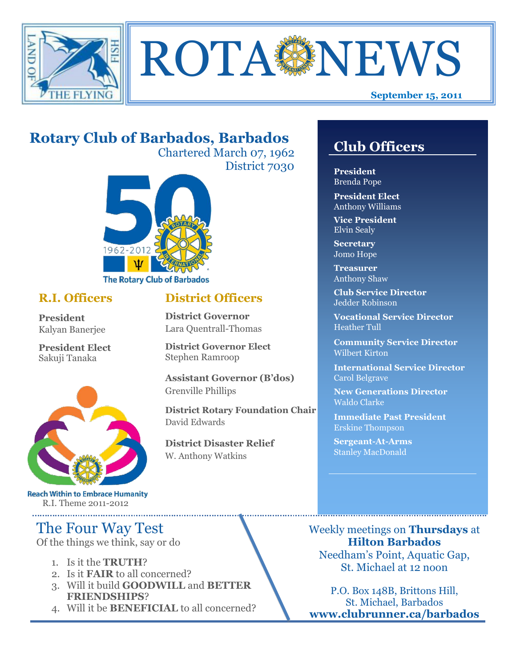



# **Rotary Club of Barbados, Barbados**

Chartered March 07, 1962 District 7030



## **R.I. Officers**

**President**  Kalyan Banerjee

**President Elect** Sakuji Tanaka



**Reach Within to Embrace Humanity** R.I. Theme 2011-2012

# The Four Way Test

Of the things we think, say or do

- 1. Is it the **TRUTH**?
- 2. Is it **FAIR** to all concerned?
- 3. Will it build **GOODWILL** and **BETTER FRIENDSHIPS**?
- 4. Will it be **BENEFICIAL** to all concerned?

## **Club Officers**

**Club Officers** 

**President** Brenda Pope

**President Elect** Anthony Williams

**Vice President** Elvin Sealy

**Secretary** Jomo Hope

**Treasurer** Anthony Shaw

**Club Service Director** Jedder Robinson

**Vocational Service Director** Heather Tull

**Community Service Director** Wilbert Kirton

**International Service Director** Carol Belgrave

**New Generations Director** Waldo Clarke

**Immediate Past President** Erskine Thompson

**Sergeant-At-Arms** Stanley MacDonald

Weekly meetings on **Thursdays** at **Hilton Barbados** Needham's Point, Aquatic Gap, St. Michael at 12 noon

P.O. Box 148B, Brittons Hill, St. Michael, Barbados **www.clubrunner.ca/barbados**

## **District Officers**

**District Governor** Lara Quentrall-Thomas

**District Governor Elect** Stephen Ramroop

**Assistant Governor (B'dos)** Grenville Phillips

**District Rotary Foundation Chair** David Edwards

**District Disaster Relief** W. Anthony Watkins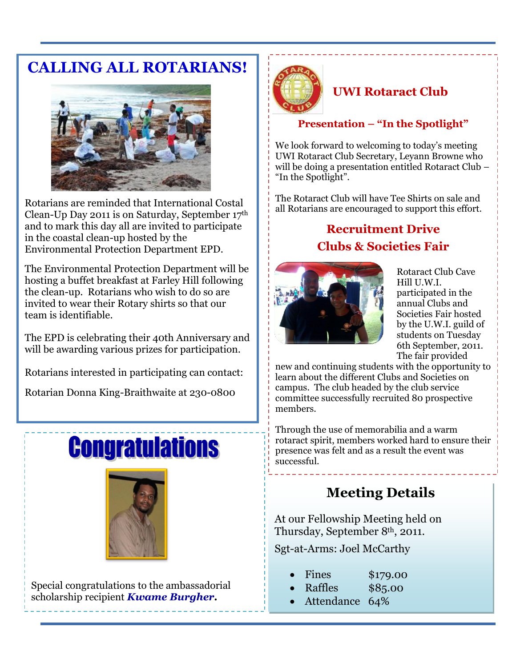# **CALLING ALL ROTARIANS!**



Rotarians are reminded that International Costal Clean-Up Day 2011 is on Saturday, September 17th and to mark this day all are invited to participate in the coastal clean-up hosted by the Environmental Protection Department EPD.

The Environmental Protection Department will be hosting a buffet breakfast at Farley Hill following the clean-up. Rotarians who wish to do so are invited to wear their Rotary shirts so that our team is identifiable.

The EPD is celebrating their 40th Anniversary and will be awarding various prizes for participation.

Rotarians interested in participating can contact:

Rotarian Donna King-Braithwaite at 230-0800

# **Congratulations**



Special congratulations to the ambassadorial scholarship recipient *Kwame Burgher.*



## **UWI Rotaract Club**

## **Presentation – "In the Spotlight"**

We look forward to welcoming to today's meeting UWI Rotaract Club Secretary, Leyann Browne who will be doing a presentation entitled Rotaract Club – "In the Spotlight".

The Rotaract Club will have Tee Shirts on sale and all Rotarians are encouraged to support this effort.

# **Recruitment Drive Clubs & Societies Fair**



Rotaract Club Cave Hill U.W.I. participated in the annual Clubs and Societies Fair hosted by the U.W.I. guild of students on Tuesday 6th September, 2011. The fair provided

new and continuing students with the opportunity to learn about the different Clubs and Societies on campus. The club headed by the club service committee successfully recruited 80 prospective members.

Through the use of memorabilia and a warm rotaract spirit, members worked hard to ensure their presence was felt and as a result the event was successful.

# **Meeting Details**

At our Fellowship Meeting held on Thursday, September 8th, 2011.

Sgt-at-Arms: Joel McCarthy

- Fines \$179.00
- Raffles \$85.00
- Attendance 64%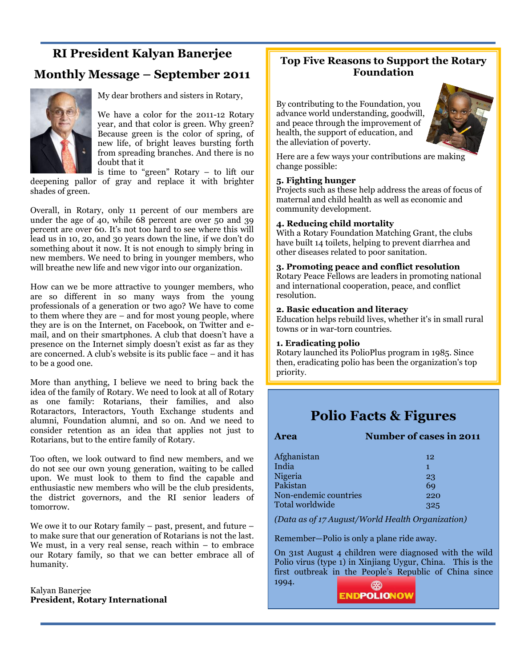## **RI President Kalyan Banerjee**

## **Monthly Message – September 2011**



My dear brothers and sisters in Rotary,

We have a color for the 2011-12 Rotary year, and that color is green. Why green? Because green is the color of spring, of new life, of bright leaves bursting forth from spreading branches. And there is no doubt that it

is time to "green" Rotary  $-$  to lift our deepening pallor of gray and replace it with brighter shades of green.

Overall, in Rotary, only 11 percent of our members are under the age of 40, while 68 percent are over 50 and 39 percent are over 60. It's not too hard to see where this will lead us in 10, 20, and 30 years down the line, if we don't do something about it now. It is not enough to simply bring in new members. We need to bring in younger members, who will breathe new life and new vigor into our organization.

How can we be more attractive to younger members, who are so different in so many ways from the young professionals of a generation or two ago? We have to come to them where they are – and for most young people, where they are is on the Internet, on Facebook, on Twitter and email, and on their smartphones. A club that doesn't have a presence on the Internet simply doesn't exist as far as they are concerned. A club's website is its public face – and it has to be a good one.

More than anything, I believe we need to bring back the idea of the family of Rotary. We need to look at all of Rotary as one family: Rotarians, their families, and also Rotaractors, Interactors, Youth Exchange students and alumni, Foundation alumni, and so on. And we need to consider retention as an idea that applies not just to Rotarians, but to the entire family of Rotary.

Too often, we look outward to find new members, and we do not see our own young generation, waiting to be called upon. We must look to them to find the capable and enthusiastic new members who will be the club presidents, the district governors, and the RI senior leaders of tomorrow.

We owe it to our Rotary family – past, present, and future – to make sure that our generation of Rotarians is not the last. We must, in a very real sense, reach within – to embrace our Rotary family, so that we can better embrace all of humanity.

Kalyan Banerjee **President, Rotary International** 

### **Top Five Reasons to Support the Rotary Foundation**

By contributing to the Foundation, you advance world understanding, goodwill, and peace through the improvement of health, the support of education, and the alleviation of poverty.



Here are a few ways your contributions are making change possible:

#### **5. Fighting hunger**

Projects such as these help address the areas of focus of maternal and child health as well as economic and community development.

#### **4. Reducing child mortality**

With a Rotary Foundation Matching Grant, the clubs have built 14 toilets, helping to prevent diarrhea and other diseases related to poor sanitation.

#### **3. Promoting peace and conflict resolution**

[Rotary Peace Fellows a](http://www.rotary.org/en/StudentsAndYouth/EducationalPrograms/RotaryCentersForInternationalStudies/Pages/ridefault.aspx)re leaders in promoting national and international cooperation, peace, and conflict resolution.

#### **2. Basic education and literacy**

Education helps rebuild lives, whether it's in small rural towns or in war-torn countries.

#### **1. Eradicating polio**

Rotary launched its [PolioPlus program i](http://www.rotary.org/en/ServiceAndFellowship/Polio/Pages/ridefault.aspx)n 1985. Since then, eradicating polio has been the organization's top priority.

## **Polio Facts & Figures**

#### **Area Number of cases in 2011**

| Afghanistan           | 12  |
|-----------------------|-----|
| India                 | 1   |
| Nigeria               | 23  |
| Pakistan              | 69  |
| Non-endemic countries | 220 |
| Total worldwide       | 325 |

*(Data as of 17 August/World Health Organization)*

Remember—Polio is only a plane ride away.

On 31st August 4 children were diagnosed with the wild Polio virus (type 1) in Xinjiang Uygur, China. This is the first outbreak in the People's Republic of China since 1994.

**ENDPOLIONOW**